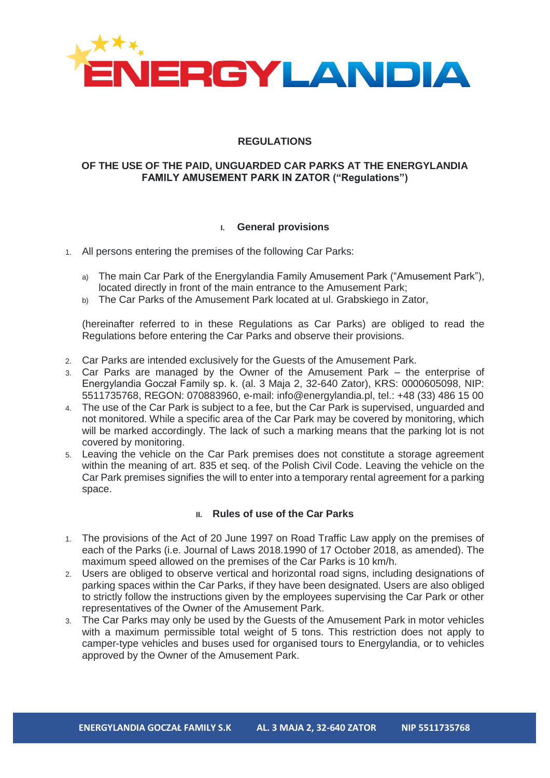

# **REGULATIONS**

### **OF THE USE OF THE PAID, UNGUARDED CAR PARKS AT THE ENERGYLANDIA FAMILY AMUSEMENT PARK IN ZATOR ("Regulations")**

#### **I. General provisions**

- 1. All persons entering the premises of the following Car Parks:
	- a) The main Car Park of the Energylandia Family Amusement Park ("Amusement Park"), located directly in front of the main entrance to the Amusement Park;
	- b) The Car Parks of the Amusement Park located at ul. Grabskiego in Zator,

(hereinafter referred to in these Regulations as Car Parks) are obliged to read the Regulations before entering the Car Parks and observe their provisions.

- 2. Car Parks are intended exclusively for the Guests of the Amusement Park.
- 3. Car Parks are managed by the Owner of the Amusement Park the enterprise of Energylandia Goczał Family sp. k. (al. 3 Maja 2, 32-640 Zator), KRS: 0000605098, NIP: 5511735768, REGON: 070883960, e-mail: info@energylandia.pl, tel.: +48 (33) 486 15 00
- 4. The use of the Car Park is subject to a fee, but the Car Park is supervised, unguarded and not monitored. While a specific area of the Car Park may be covered by monitoring, which will be marked accordingly. The lack of such a marking means that the parking lot is not covered by monitoring.
- 5. Leaving the vehicle on the Car Park premises does not constitute a storage agreement within the meaning of art. 835 et seq. of the Polish Civil Code. Leaving the vehicle on the Car Park premises signifies the will to enter into a temporary rental agreement for a parking space.

## **II. Rules of use of the Car Parks**

- 1. The provisions of the Act of 20 June 1997 on Road Traffic Law apply on the premises of each of the Parks (i.e. Journal of Laws 2018.1990 of 17 October 2018, as amended). The maximum speed allowed on the premises of the Car Parks is 10 km/h.
- 2. Users are obliged to observe vertical and horizontal road signs, including designations of parking spaces within the Car Parks, if they have been designated. Users are also obliged to strictly follow the instructions given by the employees supervising the Car Park or other representatives of the Owner of the Amusement Park.
- 3. The Car Parks may only be used by the Guests of the Amusement Park in motor vehicles with a maximum permissible total weight of 5 tons. This restriction does not apply to camper-type vehicles and buses used for organised tours to Energylandia, or to vehicles approved by the Owner of the Amusement Park.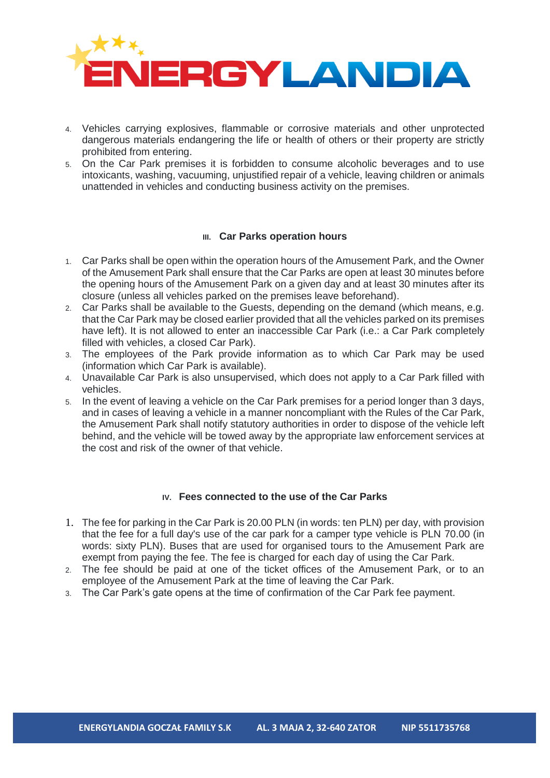

- 4. Vehicles carrying explosives, flammable or corrosive materials and other unprotected dangerous materials endangering the life or health of others or their property are strictly prohibited from entering.
- 5. On the Car Park premises it is forbidden to consume alcoholic beverages and to use intoxicants, washing, vacuuming, unjustified repair of a vehicle, leaving children or animals unattended in vehicles and conducting business activity on the premises.

#### **III. Car Parks operation hours**

- 1. Car Parks shall be open within the operation hours of the Amusement Park, and the Owner of the Amusement Park shall ensure that the Car Parks are open at least 30 minutes before the opening hours of the Amusement Park on a given day and at least 30 minutes after its closure (unless all vehicles parked on the premises leave beforehand).
- 2. Car Parks shall be available to the Guests, depending on the demand (which means, e.g. that the Car Park may be closed earlier provided that all the vehicles parked on its premises have left). It is not allowed to enter an inaccessible Car Park (i.e.: a Car Park completely filled with vehicles, a closed Car Park).
- 3. The employees of the Park provide information as to which Car Park may be used (information which Car Park is available).
- 4. Unavailable Car Park is also unsupervised, which does not apply to a Car Park filled with vehicles.
- 5. In the event of leaving a vehicle on the Car Park premises for a period longer than 3 days, and in cases of leaving a vehicle in a manner noncompliant with the Rules of the Car Park, the Amusement Park shall notify statutory authorities in order to dispose of the vehicle left behind, and the vehicle will be towed away by the appropriate law enforcement services at the cost and risk of the owner of that vehicle.

## **IV. Fees connected to the use of the Car Parks**

- 1. The fee for parking in the Car Park is 20.00 PLN (in words: ten PLN) per day, with provision that the fee for a full day's use of the car park for a camper type vehicle is PLN 70.00 (in words: sixty PLN). Buses that are used for organised tours to the Amusement Park are exempt from paying the fee. The fee is charged for each day of using the Car Park.
- 2. The fee should be paid at one of the ticket offices of the Amusement Park, or to an employee of the Amusement Park at the time of leaving the Car Park.
- 3. The Car Park's gate opens at the time of confirmation of the Car Park fee payment.